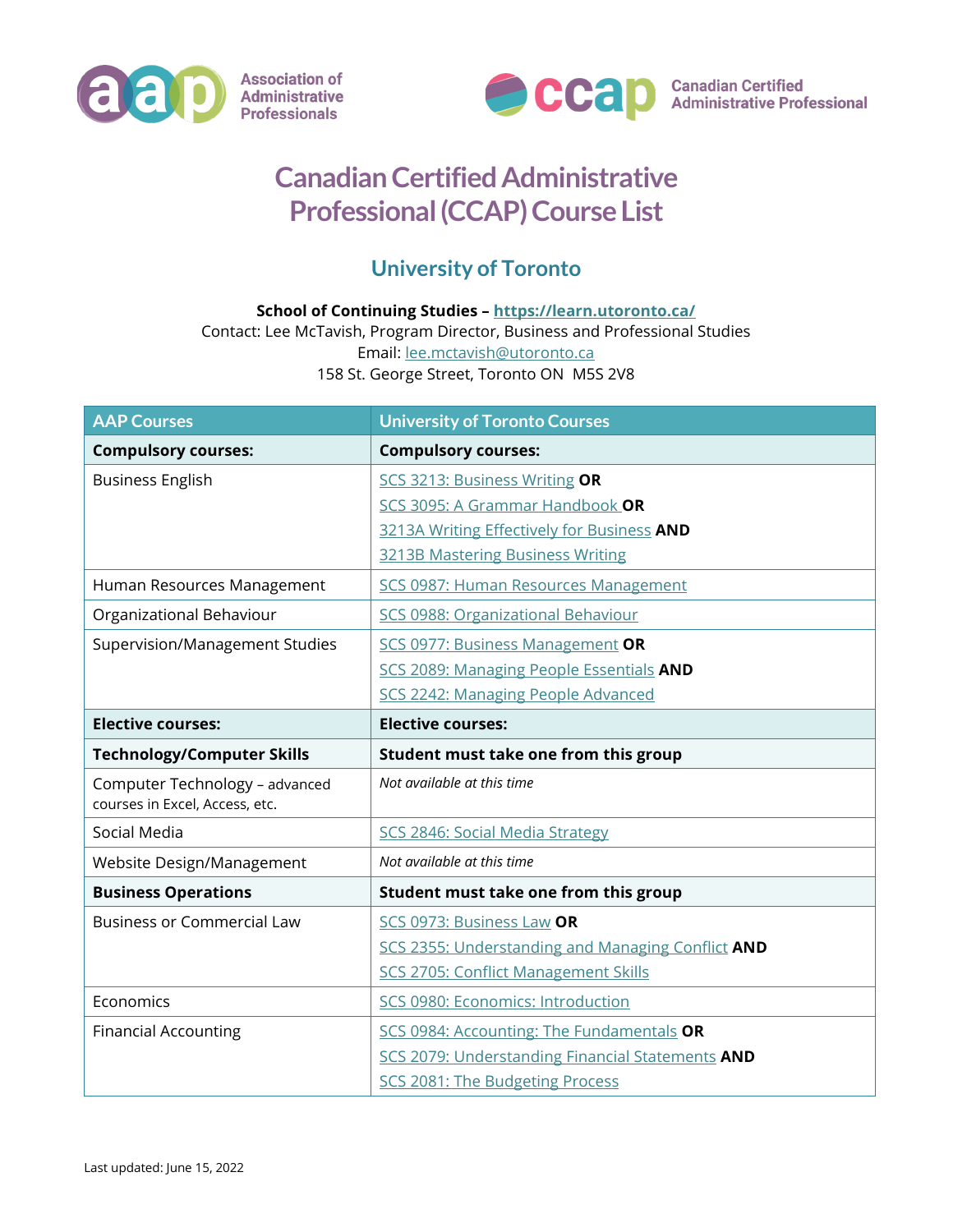



## **Canadian Certified Administrative Professional (CCAP) Course List**

## **University of Toronto**

## **School of Continuing Studies – <https://learn.utoronto.ca/>**

Contact: Lee McTavish, Program Director, Business and Professional Studies Email: [lee.mctavish@utoronto.ca](mailto:lee.mctavish@utoronto.ca) 158 St. George Street, Toronto ON M5S 2V8

| <b>AAP Courses</b>                                               | <b>University of Toronto Courses</b>              |
|------------------------------------------------------------------|---------------------------------------------------|
| <b>Compulsory courses:</b>                                       | <b>Compulsory courses:</b>                        |
| <b>Business English</b>                                          | SCS 3213: Business Writing OR                     |
|                                                                  | SCS 3095: A Grammar Handbook OR                   |
|                                                                  | 3213A Writing Effectively for Business AND        |
|                                                                  | <b>3213B Mastering Business Writing</b>           |
| Human Resources Management                                       | SCS 0987: Human Resources Management              |
| Organizational Behaviour                                         | SCS 0988: Organizational Behaviour                |
| Supervision/Management Studies                                   | <b>SCS 0977: Business Management OR</b>           |
|                                                                  | SCS 2089: Managing People Essentials AND          |
|                                                                  | SCS 2242: Managing People Advanced                |
| <b>Elective courses:</b>                                         | <b>Elective courses:</b>                          |
| <b>Technology/Computer Skills</b>                                | Student must take one from this group             |
| Computer Technology - advanced<br>courses in Excel, Access, etc. | Not available at this time                        |
| Social Media                                                     | SCS 2846: Social Media Strategy                   |
| Website Design/Management                                        | Not available at this time                        |
| <b>Business Operations</b>                                       | Student must take one from this group             |
| <b>Business or Commercial Law</b>                                | SCS 0973: Business Law OR                         |
|                                                                  | SCS 2355: Understanding and Managing Conflict AND |
|                                                                  | SCS 2705: Conflict Management Skills              |
| Economics                                                        | SCS 0980: Economics: Introduction                 |
| <b>Financial Accounting</b>                                      | SCS 0984: Accounting: The Fundamentals OR         |
|                                                                  | SCS 2079: Understanding Financial Statements AND  |
|                                                                  | SCS 2081: The Budgeting Process                   |